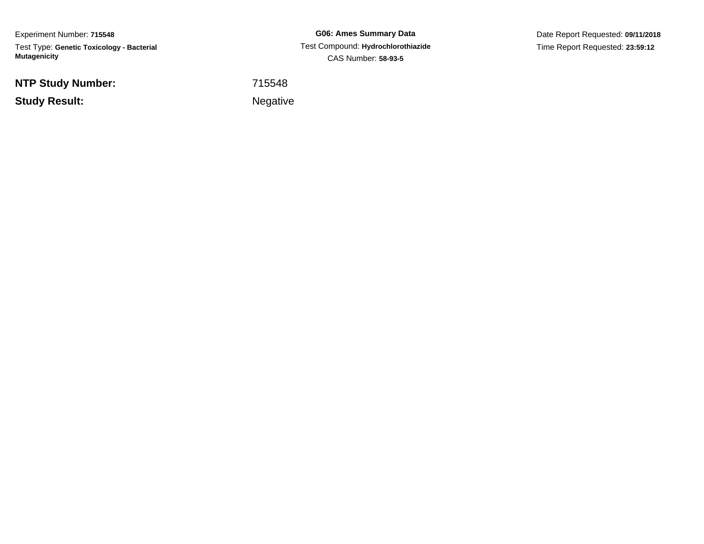Experiment Number: **715548**Test Type: **Genetic Toxicology - Bacterial Mutagenicity**

**NTP Study Number:**

**Study Result:**

**G06: Ames Summary Data** Test Compound: **Hydrochlorothiazide**CAS Number: **58-93-5**

Date Report Requested: **09/11/2018**Time Report Requested: **23:59:12**

<sup>715548</sup>

**Example 2** is a set of the set of the Negative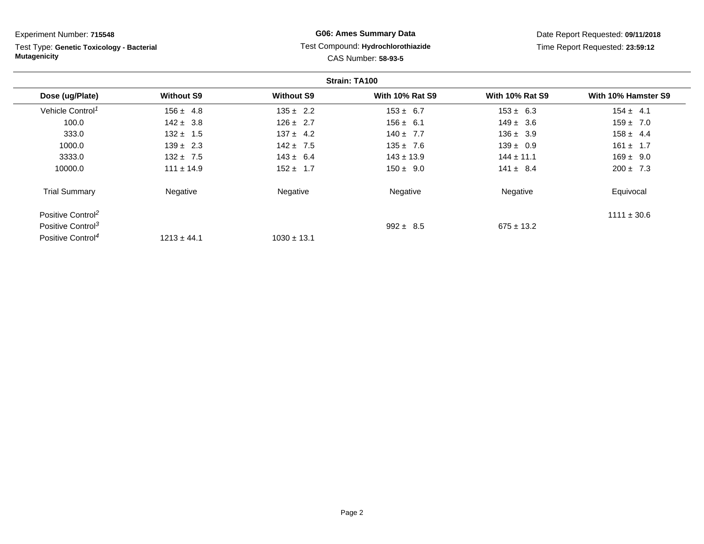Test Type: **Genetic Toxicology - Bacterial Mutagenicity**

## **G06: Ames Summary Data** Test Compound: **Hydrochlorothiazide**CAS Number: **58-93-5**

| Strain: TA100                 |                   |                   |                        |                        |                     |  |
|-------------------------------|-------------------|-------------------|------------------------|------------------------|---------------------|--|
| Dose (ug/Plate)               | <b>Without S9</b> | <b>Without S9</b> | <b>With 10% Rat S9</b> | <b>With 10% Rat S9</b> | With 10% Hamster S9 |  |
| Vehicle Control <sup>1</sup>  | $156 \pm 4.8$     | $135 \pm 2.2$     | $153 \pm 6.7$          | $153 \pm 6.3$          | $154 \pm 4.1$       |  |
| 100.0                         | $142 \pm 3.8$     | $126 \pm 2.7$     | $156 \pm 6.1$          | $149 \pm 3.6$          | $159 \pm 7.0$       |  |
| 333.0                         | $132 \pm 1.5$     | $137 \pm 4.2$     | $140 \pm 7.7$          | $136 \pm 3.9$          | $158 \pm 4.4$       |  |
| 1000.0                        | $139 \pm 2.3$     | $142 \pm 7.5$     | $135 \pm 7.6$          | $139 \pm 0.9$          | $161 \pm 1.7$       |  |
| 3333.0                        | $132 \pm 7.5$     | $143 \pm 6.4$     | $143 \pm 13.9$         | $144 \pm 11.1$         | $169 \pm 9.0$       |  |
| 10000.0                       | $111 \pm 14.9$    | $152 \pm 1.7$     | $150 \pm 9.0$          | $141 \pm 8.4$          | $200 \pm 7.3$       |  |
| <b>Trial Summary</b>          | Negative          | Negative          | Negative               | Negative               | Equivocal           |  |
| Positive Control <sup>2</sup> |                   |                   |                        |                        | $1111 \pm 30.6$     |  |
| Positive Control <sup>3</sup> |                   |                   | $992 \pm 8.5$          | $675 \pm 13.2$         |                     |  |
| Positive Control <sup>4</sup> | $1213 \pm 44.1$   | $1030 \pm 13.1$   |                        |                        |                     |  |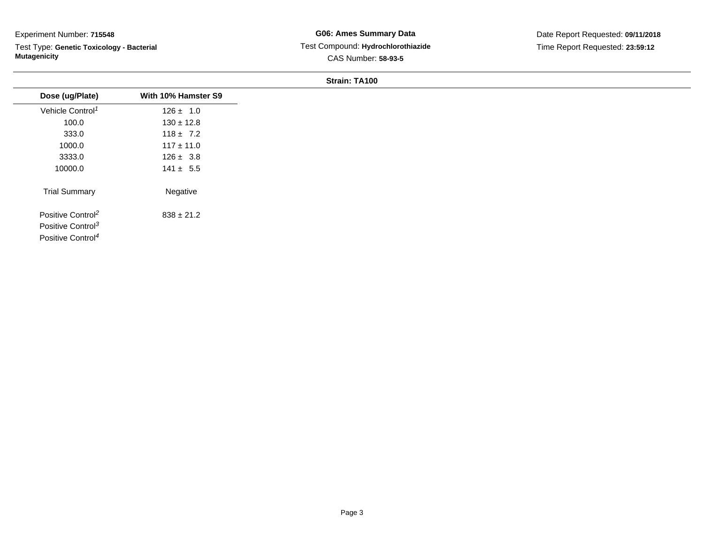$\overline{\phantom{a}}$ 

Test Type: **Genetic Toxicology - Bacterial Mutagenicity**

**G06: Ames Summary Data** Test Compound: **Hydrochlorothiazide**CAS Number: **58-93-5**

Date Report Requested: **09/11/2018**Time Report Requested: **23:59:12**

#### **Strain: TA100**

| With 10% Hamster S9 |
|---------------------|
| $126 \pm 1.0$       |
| $130 \pm 12.8$      |
| $118 \pm 7.2$       |
| $117 \pm 11.0$      |
| $126 \pm 3.8$       |
| $141 \pm 5.5$       |
| Negative            |
| $838 \pm 21.2$      |
|                     |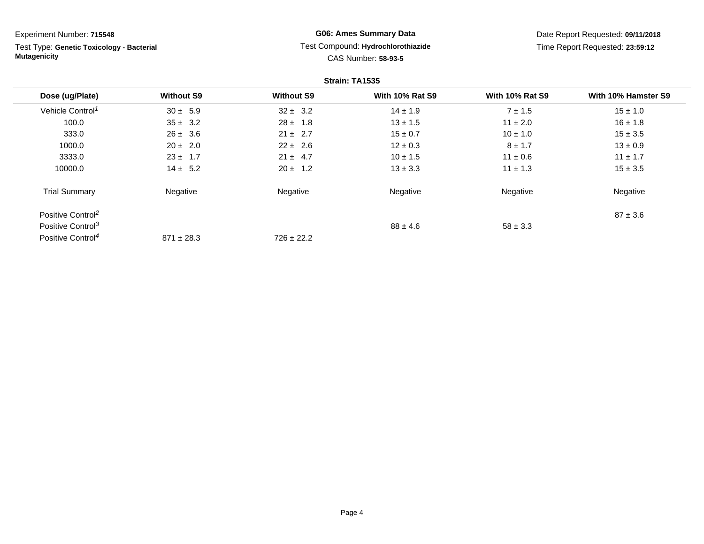Test Type: **Genetic Toxicology - Bacterial Mutagenicity**

## **G06: Ames Summary Data** Test Compound: **Hydrochlorothiazide**CAS Number: **58-93-5**

| Strain: TA1535                |                   |                   |                        |                        |                     |
|-------------------------------|-------------------|-------------------|------------------------|------------------------|---------------------|
| Dose (ug/Plate)               | <b>Without S9</b> | <b>Without S9</b> | <b>With 10% Rat S9</b> | <b>With 10% Rat S9</b> | With 10% Hamster S9 |
| Vehicle Control <sup>1</sup>  | $30 \pm 5.9$      | $32 \pm 3.2$      | $14 \pm 1.9$           | $7 \pm 1.5$            | $15 \pm 1.0$        |
| 100.0                         | $35 \pm 3.2$      | $28 \pm 1.8$      | $13 \pm 1.5$           | $11 \pm 2.0$           | $16 \pm 1.8$        |
| 333.0                         | $26 \pm 3.6$      | $21 \pm 2.7$      | $15 \pm 0.7$           | $10 \pm 1.0$           | $15 \pm 3.5$        |
| 1000.0                        | $20 \pm 2.0$      | $22 \pm 2.6$      | $12 \pm 0.3$           | $8 \pm 1.7$            | $13 \pm 0.9$        |
| 3333.0                        | $23 \pm 1.7$      | $21 \pm 4.7$      | $10 \pm 1.5$           | $11 \pm 0.6$           | $11 \pm 1.7$        |
| 10000.0                       | $14 \pm 5.2$      | $20 \pm 1.2$      | $13 \pm 3.3$           | $11 \pm 1.3$           | $15 \pm 3.5$        |
| <b>Trial Summary</b>          | Negative          | Negative          | Negative               | Negative               | Negative            |
| Positive Control <sup>2</sup> |                   |                   |                        |                        | $87 \pm 3.6$        |
| Positive Control <sup>3</sup> |                   |                   | $88 \pm 4.6$           | $58 \pm 3.3$           |                     |
| Positive Control <sup>4</sup> | $871 \pm 28.3$    | $726 \pm 22.2$    |                        |                        |                     |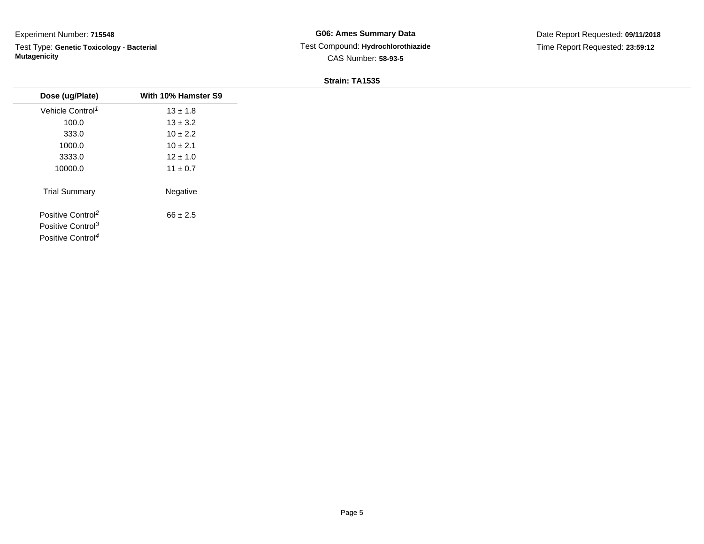Test Type: **Genetic Toxicology - Bacterial Mutagenicity**

#### **Strain: TA1535**

| Dose (ug/Plate)                                                                                 | With 10% Hamster S9 |
|-------------------------------------------------------------------------------------------------|---------------------|
| Vehicle Control <sup>1</sup>                                                                    | $13 \pm 1.8$        |
| 100.0                                                                                           | $13 \pm 3.2$        |
| 333.0                                                                                           | $10 \pm 2.2$        |
| 1000.0                                                                                          | $10 \pm 2.1$        |
| 3333.0                                                                                          | $12 \pm 1.0$        |
| 10000.0                                                                                         | $11 \pm 0.7$        |
| <b>Trial Summary</b>                                                                            | Negative            |
| Positive Control <sup>2</sup><br>Positive Control <sup>3</sup><br>Positive Control <sup>4</sup> | $66 \pm 2.5$        |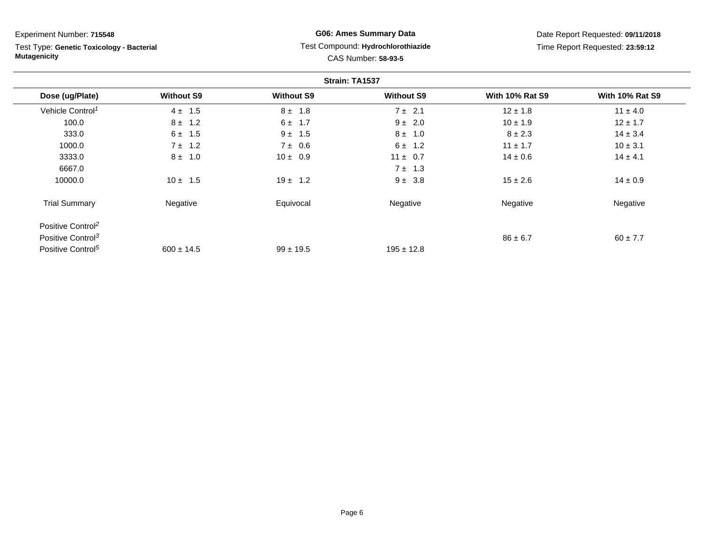Test Type: **Genetic Toxicology - Bacterial Mutagenicity**

## **G06: Ames Summary Data** Test Compound: **Hydrochlorothiazide**CAS Number: **58-93-5**

| Strain: TA1537                |                   |                   |                   |                        |                        |
|-------------------------------|-------------------|-------------------|-------------------|------------------------|------------------------|
| Dose (ug/Plate)               | <b>Without S9</b> | <b>Without S9</b> | <b>Without S9</b> | <b>With 10% Rat S9</b> | <b>With 10% Rat S9</b> |
| Vehicle Control <sup>1</sup>  | $4 \pm 1.5$       | $8 \pm 1.8$       | $7 \pm 2.1$       | $12 \pm 1.8$           | $11 \pm 4.0$           |
| 100.0                         | $8 \pm 1.2$       | $6 \pm 1.7$       | $9 \pm 2.0$       | $10 \pm 1.9$           | $12 \pm 1.7$           |
| 333.0                         | $6 \pm 1.5$       | $9 \pm 1.5$       | $8 \pm 1.0$       | $8 \pm 2.3$            | $14 \pm 3.4$           |
| 1000.0                        | $7 \pm 1.2$       | 7 ± 0.6           | $6 \pm 1.2$       | $11 \pm 1.7$           | $10 \pm 3.1$           |
| 3333.0                        | $8 \pm 1.0$       | $10 \pm 0.9$      | $11 \pm 0.7$      | $14 \pm 0.6$           | $14 \pm 4.1$           |
| 6667.0                        |                   |                   | $7 \pm 1.3$       |                        |                        |
| 10000.0                       | $10 \pm 1.5$      | $19 \pm 1.2$      | $9 \pm 3.8$       | $15 \pm 2.6$           | $14 \pm 0.9$           |
| <b>Trial Summary</b>          | Negative          | Equivocal         | Negative          | Negative               | Negative               |
| Positive Control <sup>2</sup> |                   |                   |                   |                        |                        |
| Positive Control <sup>3</sup> |                   |                   |                   | $86 \pm 6.7$           | $60 \pm 7.7$           |
| Positive Control <sup>5</sup> | $600 \pm 14.5$    | $99 \pm 19.5$     | $195 \pm 12.8$    |                        |                        |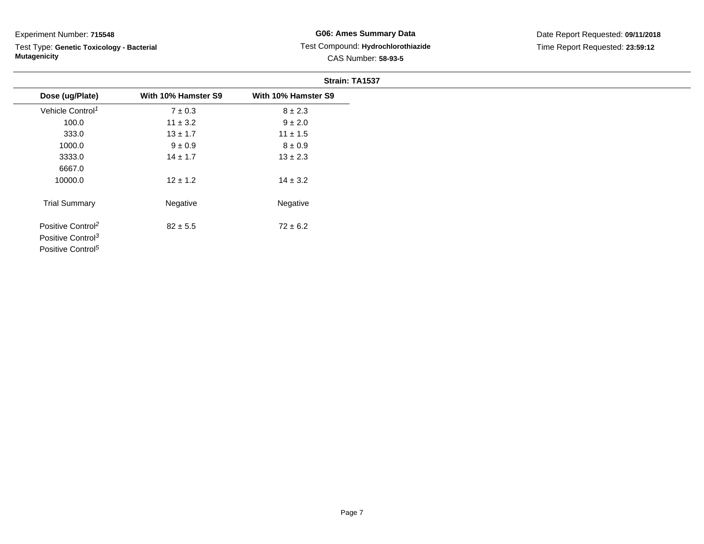Test Type: **Genetic Toxicology - Bacterial Mutagenicity**

### **G06: Ames Summary Data** Test Compound: **Hydrochlorothiazide**CAS Number: **58-93-5**

|                               |                     | Strain: TA1537      |
|-------------------------------|---------------------|---------------------|
| Dose (ug/Plate)               | With 10% Hamster S9 | With 10% Hamster S9 |
| Vehicle Control <sup>1</sup>  | $7 \pm 0.3$         | $8 \pm 2.3$         |
| 100.0                         | $11 \pm 3.2$        | $9 \pm 2.0$         |
| 333.0                         | $13 \pm 1.7$        | $11 \pm 1.5$        |
| 1000.0                        | $9 \pm 0.9$         | $8 \pm 0.9$         |
| 3333.0                        | $14 \pm 1.7$        | $13 \pm 2.3$        |
| 6667.0                        |                     |                     |
| 10000.0                       | $12 \pm 1.2$        | $14 \pm 3.2$        |
| <b>Trial Summary</b>          | Negative            | Negative            |
| Positive Control <sup>2</sup> | $82 \pm 5.5$        | $72 \pm 6.2$        |
| Positive Control <sup>3</sup> |                     |                     |
| Positive Control <sup>5</sup> |                     |                     |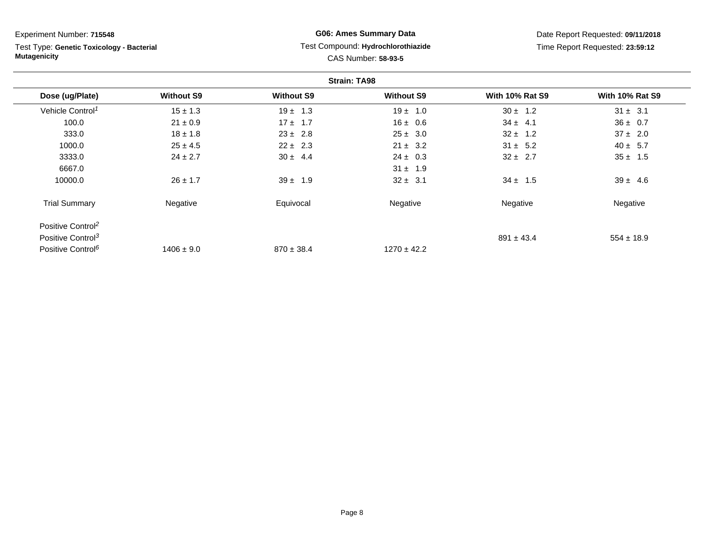Test Type: **Genetic Toxicology - Bacterial Mutagenicity**

## **G06: Ames Summary Data** Test Compound: **Hydrochlorothiazide**CAS Number: **58-93-5**

| <b>Strain: TA98</b>           |                   |                   |                   |                        |                        |  |
|-------------------------------|-------------------|-------------------|-------------------|------------------------|------------------------|--|
| Dose (ug/Plate)               | <b>Without S9</b> | <b>Without S9</b> | <b>Without S9</b> | <b>With 10% Rat S9</b> | <b>With 10% Rat S9</b> |  |
| Vehicle Control <sup>1</sup>  | $15 \pm 1.3$      | $19 \pm 1.3$      | $19 \pm 1.0$      | $30 \pm 1.2$           | $31 \pm 3.1$           |  |
| 100.0                         | $21 \pm 0.9$      | $17 \pm 1.7$      | $16 \pm 0.6$      | $34 \pm 4.1$           | $36 \pm 0.7$           |  |
| 333.0                         | $18 \pm 1.8$      | $23 \pm 2.8$      | $25 \pm 3.0$      | $32 \pm 1.2$           | $37 \pm 2.0$           |  |
| 1000.0                        | $25 \pm 4.5$      | $22 \pm 2.3$      | $21 \pm 3.2$      | $31 \pm 5.2$           | $40 \pm 5.7$           |  |
| 3333.0                        | $24 \pm 2.7$      | $30 \pm 4.4$      | $24 \pm 0.3$      | $32 \pm 2.7$           | $35 \pm 1.5$           |  |
| 6667.0                        |                   |                   | $31 \pm 1.9$      |                        |                        |  |
| 10000.0                       | $26 \pm 1.7$      | $39 \pm 1.9$      | $32 \pm 3.1$      | $34 \pm 1.5$           | $39 \pm 4.6$           |  |
| <b>Trial Summary</b>          | Negative          | Equivocal         | Negative          | Negative               | Negative               |  |
| Positive Control <sup>2</sup> |                   |                   |                   |                        |                        |  |
| Positive Control <sup>3</sup> |                   |                   |                   | $891 \pm 43.4$         | $554 \pm 18.9$         |  |
| Positive Control <sup>6</sup> | $1406 \pm 9.0$    | $870 \pm 38.4$    | $1270 \pm 42.2$   |                        |                        |  |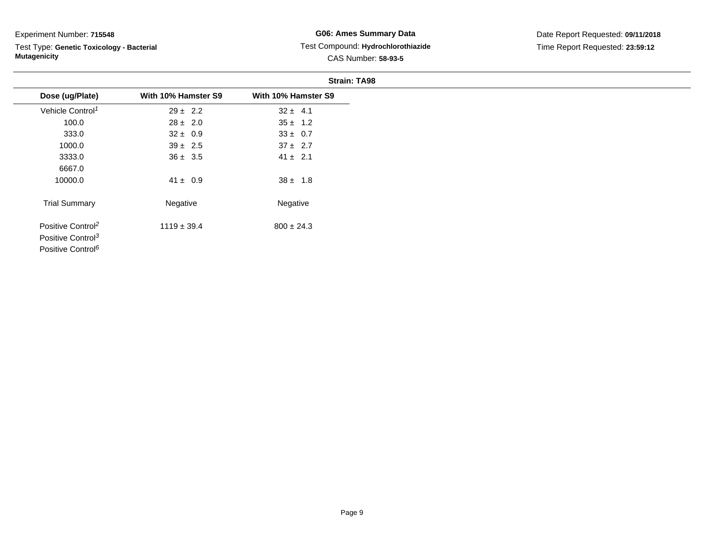Test Type: **Genetic Toxicology - Bacterial Mutagenicity**

**G06: Ames Summary Data** Test Compound: **Hydrochlorothiazide**CAS Number: **58-93-5**

|                               |                     | <b>Strain: TA98</b> |
|-------------------------------|---------------------|---------------------|
| Dose (ug/Plate)               | With 10% Hamster S9 | With 10% Hamster S9 |
| Vehicle Control <sup>1</sup>  | $29 \pm 2.2$        | $32 \pm 4.1$        |
| 100.0                         | $28 \pm 2.0$        | $35 \pm 1.2$        |
| 333.0                         | $32 \pm 0.9$        | $33 \pm 0.7$        |
| 1000.0                        | $39 \pm 2.5$        | $37 \pm 2.7$        |
| 3333.0                        | $36 \pm 3.5$        | $41 \pm 2.1$        |
| 6667.0                        |                     |                     |
| 10000.0                       | $41 \pm 0.9$        | $38 \pm 1.8$        |
| <b>Trial Summary</b>          | Negative            | Negative            |
| Positive Control <sup>2</sup> | $1119 \pm 39.4$     | $800 \pm 24.3$      |
| Positive Control <sup>3</sup> |                     |                     |
| Positive Control <sup>6</sup> |                     |                     |